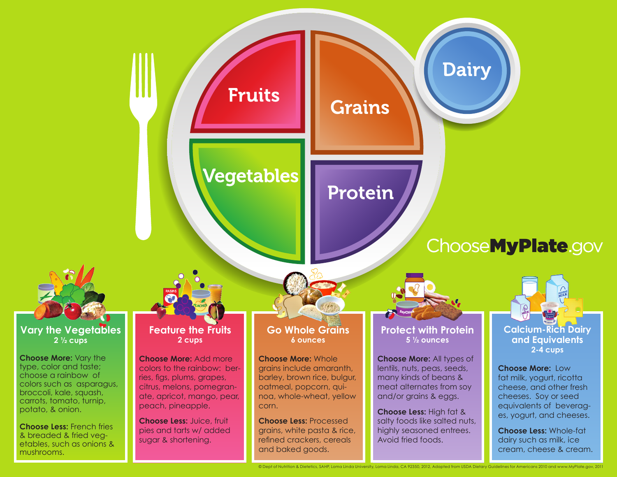## **Fruits**

### Vegetables

# Protein

**Grains** 



#### **Vary the Vegetables 2 ½ cups**

**Choose More:** Vary the type, color and taste; choose a rainbow of colors such as asparagus, broccoli, kale, squash, carrots, tomato, turnip, potato, & onion.

**Choose Less:** French fries & breaded & fried vegetables, such as onions & mushrooms.

#### **Feature the Fruits 2 cups**

**Choose More:** Add more colors to the rainbow: berries, figs, plums, grapes, citrus, melons, pomegranate, apricot, mango, pear, peach, pineapple.

**Choose Less:** Juice, fruit pies and tarts w/ added sugar & shortening.

#### **Go Whole Grains 6 ounces**

**Choose More:** Whole grains include amaranth, barley, brown rice, bulgur, oatmeal, popcorn, quinoa, whole-wheat, yellow corn.

**Choose Less:** Processed grains, white pasta & rice, refined crackers, cereals and baked goods.

#### **Protect with Protein 5 ½ ounces**

**Dairy** 

**<sup>S</sup>oyChic<sup>k</sup>**

**Choose More:** All types of lentils, nuts, peas, seeds, many kinds of beans & meat alternates from soy and/or grains & eggs.

**Choose Less:** High fat & salty foods like salted nuts, highly seasoned entrees. Avoid fried foods.

© Dept of Nutrition & Dietetics, SAHP, Loma Linda University, Loma Linda, CA 92350, 2012, Adapted from USDA Dietary Guidelines for Americans 2010 and www.MyPlate.gov, 2011



ChooseMyPlate.gov

**2-4 cups**

**Choose More:** Low fat milk, yogurt, ricotta cheese, and other fresh cheeses. Soy or seed equivalents of beverages, yogurt, and cheeses.

**Choose Less:** Whole-fat dairy such as milk, ice cream, cheese & cream.